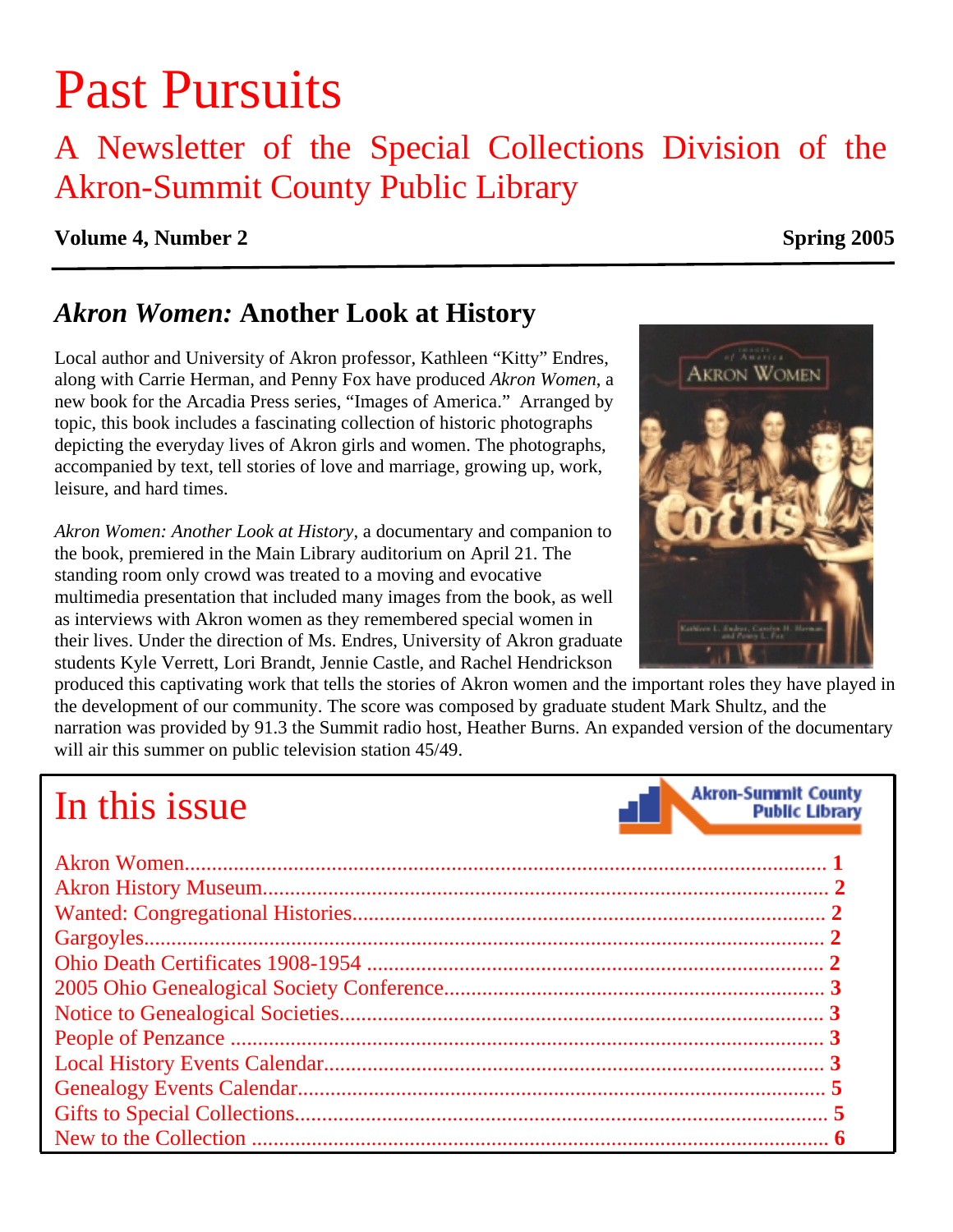# Past Pursuits

## A Newsletter of the Special Collections Division of the Akron-Summit County Public Library

#### **Volume 4, Number 2** Spring 2005

### *Akron Women:* **Another Look at History**

Local author and University of Akron professor, Kathleen "Kitty" Endres, along with Carrie Herman, and Penny Fox have produced *Akron Women*, a new book for the Arcadia Press series, "Images of America." Arranged by topic, this book includes a fascinating collection of historic photographs depicting the everyday lives of Akron girls and women. The photographs, accompanied by text, tell stories of love and marriage, growing up, work, leisure, and hard times.

*Akron Women: Another Look at History*, a documentary and companion to the book, premiered in the Main Library auditorium on April 21. The standing room only crowd was treated to a moving and evocative multimedia presentation that included many images from the book, as well as interviews with Akron women as they remembered special women in their lives. Under the direction of Ms. Endres, University of Akron graduate students Kyle Verrett, Lori Brandt, Jennie Castle, and Rachel Hendrickson

produced this captivating work that tells the stories of Akron women and the important roles they have played in the development of our community. The score was composed by graduate student Mark Shultz, and the narration was provided by 91.3 the Summit radio host, Heather Burns. An expanded version of the documentary

will air this summer on public television station 45/49.

# In this issue



**Akron-Summit County** 

**Public Library**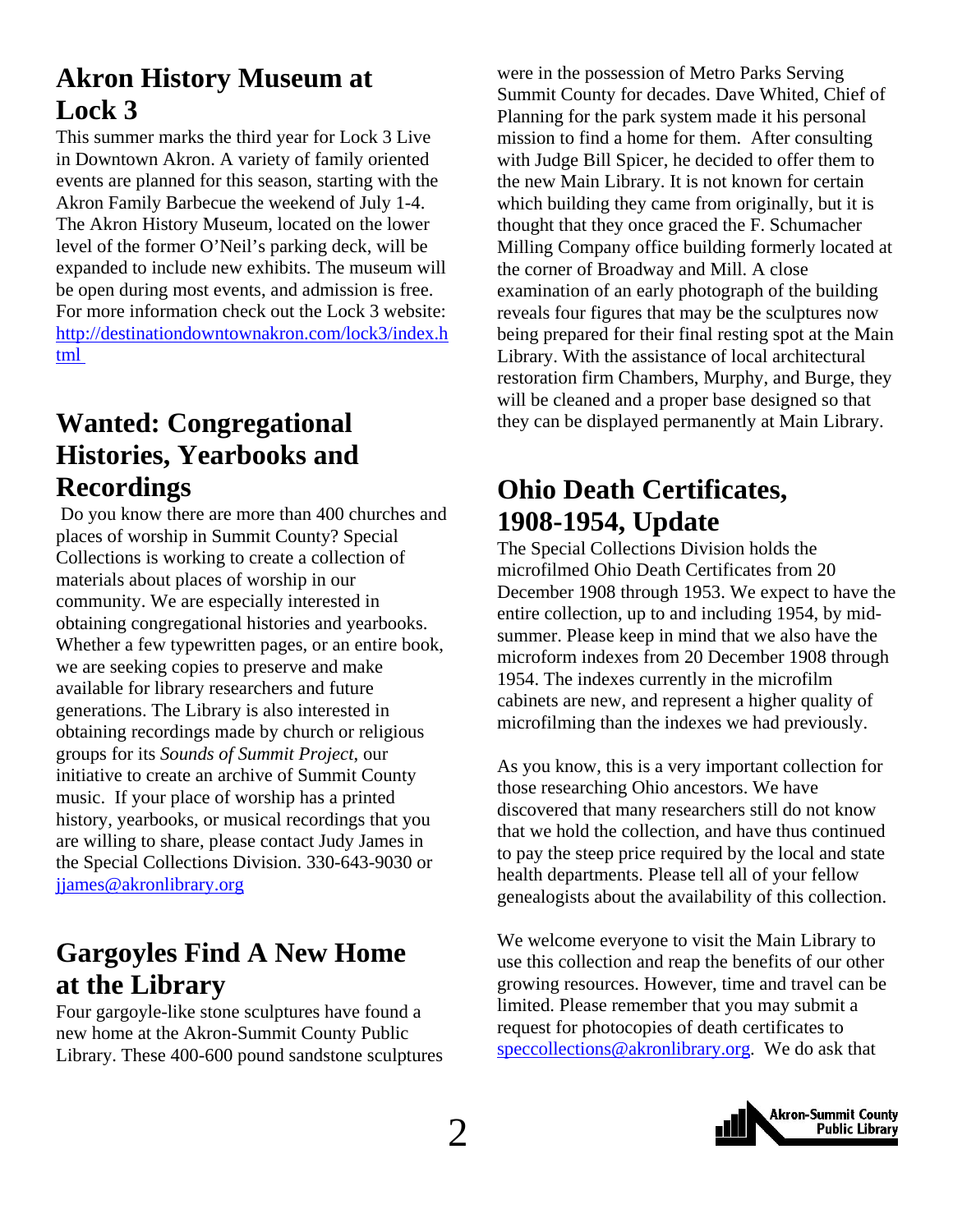### <span id="page-1-0"></span>**Akron History Museum at Lock 3**

This summer marks the third year for Lock 3 Live in Downtown Akron. A variety of family oriented events are planned for this season, starting with the Akron Family Barbecue the weekend of July 1-4. The Akron History Museum, located on the lower level of the former O'Neil's parking deck, will be expanded to include new exhibits. The museum will be open during most events, and admission is free. For more information check out the Lock 3 website: http://destinationdowntownakron.com/lock3/index.h tml

### **Wanted: Congregational Histories, Yearbooks and Recordings**

 Do you know there are more than 400 churches and places of worship in Summit County? Special Collections is working to create a collection of materials about places of worship in our community. We are especially interested in obtaining congregational histories and yearbooks. Whether a few typewritten pages, or an entire book, we are seeking copies to preserve and make available for library researchers and future generations. The Library is also interested in obtaining recordings made by church or religious groups for its *Sounds of Summit Project*, our initiative to create an archive of Summit County music. If your place of worship has a printed history, yearbooks, or musical recordings that you are willing to share, please contact Judy James in the Special Collections Division. 330-643-9030 or [jjames@akronlibrary.org](mailto:jjames@akronlibrary.org)

### **Gargoyles Find A New Home at the Library**

Four gargoyle-like stone sculptures have found a new home at the Akron-Summit County Public Library. These 400-600 pound sandstone sculptures

were in the possession of Metro Parks Serving Summit County for decades. Dave Whited, Chief of Planning for the park system made it his personal mission to find a home for them. After consulting with Judge Bill Spicer, he decided to offer them to the new Main Library. It is not known for certain which building they came from originally, but it is thought that they once graced the F. Schumacher Milling Company office building formerly located at the corner of Broadway and Mill. A close examination of an early photograph of the building reveals four figures that may be the sculptures now being prepared for their final resting spot at the Main Library. With the assistance of local architectural restoration firm Chambers, Murphy, and Burge, they will be cleaned and a proper base designed so that they can be displayed permanently at Main Library.

### **Ohio Death Certificates, 1908-1954, Update**

The Special Collections Division holds the microfilmed Ohio Death Certificates from 20 December 1908 through 1953. We expect to have the entire collection, up to and including 1954, by midsummer. Please keep in mind that we also have the microform indexes from 20 December 1908 through 1954. The indexes currently in the microfilm cabinets are new, and represent a higher quality of microfilming than the indexes we had previously.

As you know, this is a very important collection for those researching Ohio ancestors. We have discovered that many researchers still do not know that we hold the collection, and have thus continued to pay the steep price required by the local and state health departments. Please tell all of your fellow genealogists about the availability of this collection.

We welcome everyone to visit the Main Library to use this collection and reap the benefits of our other growing resources. However, time and travel can be limited. Please remember that you may submit a request for photocopies of death certificates to speccollections@akronlibrary.org. We do ask that

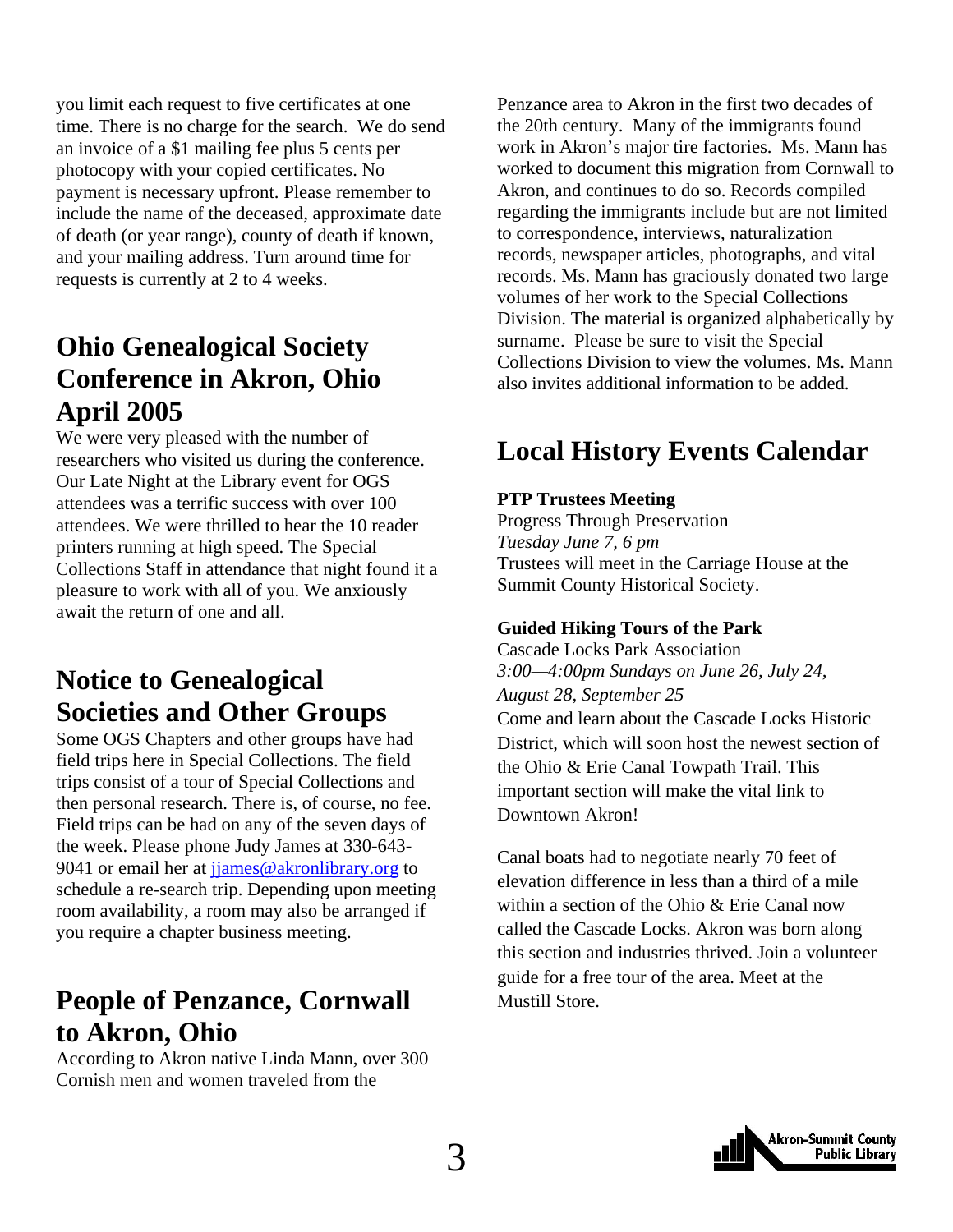<span id="page-2-0"></span>you limit each request to five certificates at one time. There is no charge for the search. We do send an invoice of a \$1 mailing fee plus 5 cents per photocopy with your copied certificates. No payment is necessary upfront. Please remember to include the name of the deceased, approximate date of death (or year range), county of death if known, and your mailing address. Turn around time for requests is currently at 2 to 4 weeks.

### **Ohio Genealogical Society Conference in Akron, Ohio April 2005**

We were very pleased with the number of researchers who visited us during the conference. Our Late Night at the Library event for OGS attendees was a terrific success with over 100 attendees. We were thrilled to hear the 10 reader printers running at high speed. The Special Collections Staff in attendance that night found it a pleasure to work with all of you. We anxiously await the return of one and all.

### **Notice to Genealogical Societies and Other Groups**

Some OGS Chapters and other groups have had field trips here in Special Collections. The field trips consist of a tour of Special Collections and then personal research. There is, of course, no fee. Field trips can be had on any of the seven days of the week. Please phone Judy James at 330-643- 9041 or email her at jjames@akronlibrary.org to schedule a re-search trip. Depending upon meeting room availability, a room may also be arranged if you require a chapter business meeting.

### **People of Penzance, Cornwall to Akron, Ohio**

According to Akron native Linda Mann, over 300 Cornish men and women traveled from the

Penzance area to Akron in the first two decades of the 20th century. Many of the immigrants found work in Akron's major tire factories. Ms. Mann has worked to document this migration from Cornwall to Akron, and continues to do so. Records compiled regarding the immigrants include but are not limited to correspondence, interviews, naturalization records, newspaper articles, photographs, and vital records. Ms. Mann has graciously donated two large volumes of her work to the Special Collections Division. The material is organized alphabetically by surname. Please be sure to visit the Special Collections Division to view the volumes. Ms. Mann also invites additional information to be added.

### **Local History Events Calendar**

#### **PTP Trustees Meeting**

Progress Through Preservation *Tuesday June 7, 6 pm*  Trustees will meet in the Carriage House at the Summit County Historical Society.

#### **Guided Hiking Tours of the Park**

Cascade Locks Park Association *3:00—4:00pm Sundays on June 26, July 24, August 28, September 25*  Come and learn about the Cascade Locks Historic District, which will soon host the newest section of the Ohio & Erie Canal Towpath Trail. This important section will make the vital link to Downtown Akron!

Canal boats had to negotiate nearly 70 feet of elevation difference in less than a third of a mile within a section of the Ohio & Erie Canal now called the Cascade Locks. Akron was born along this section and industries thrived. Join a volunteer guide for a free tour of the area. Meet at the Mustill Store.

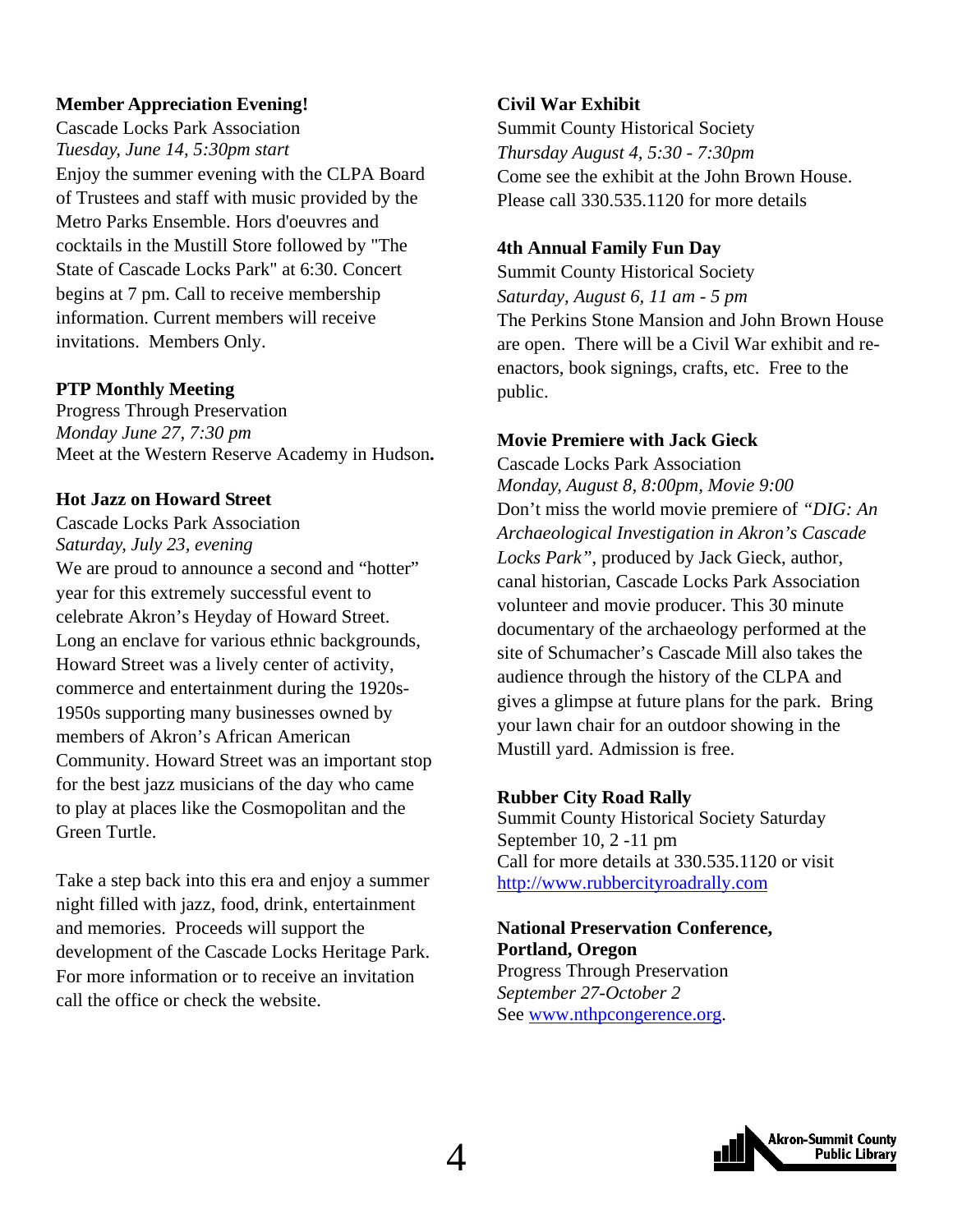#### **Member Appreciation Evening!**

Cascade Locks Park Association *Tuesday, June 14, 5:30pm start*  Enjoy the summer evening with the CLPA Board of Trustees and staff with music provided by the Metro Parks Ensemble. Hors d'oeuvres and cocktails in the Mustill Store followed by "The State of Cascade Locks Park" at 6:30. Concert begins at 7 pm. Call to receive membership information. Current members will receive invitations. Members Only.

#### **PTP Monthly Meeting**

Progress Through Preservation *Monday June 27, 7:30 pm*  Meet at the Western Reserve Academy in Hudson**.** 

#### **Hot Jazz on Howard Street**

Cascade Locks Park Association *Saturday, July 23, evening*  We are proud to announce a second and "hotter" year for this extremely successful event to celebrate Akron's Heyday of Howard Street. Long an enclave for various ethnic backgrounds, Howard Street was a lively center of activity, commerce and entertainment during the 1920s-1950s supporting many businesses owned by members of Akron's African American Community. Howard Street was an important stop for the best jazz musicians of the day who came to play at places like the Cosmopolitan and the Green Turtle.

Take a step back into this era and enjoy a summer night filled with jazz, food, drink, entertainment and memories. Proceeds will support the development of the Cascade Locks Heritage Park. For more information or to receive an invitation call the office or check the website.

#### **Civil War Exhibit**

Summit County Historical Society *Thursday August 4, 5:30 - 7:30pm*  Come see the exhibit at the John Brown House. Please call 330.535.1120 for more details

#### **4th Annual Family Fun Day**

Summit County Historical Society *Saturday, August 6, 11 am - 5 pm*  The Perkins Stone Mansion and John Brown House are open. There will be a Civil War exhibit and reenactors, book signings, crafts, etc. Free to the public.

#### **Movie Premiere with Jack Gieck**

Cascade Locks Park Association *Monday, August 8, 8:00pm, Movie 9:00*  Don't miss the world movie premiere of *"DIG: An Archaeological Investigation in Akron's Cascade Locks Park"*, produced by Jack Gieck, author, canal historian, Cascade Locks Park Association volunteer and movie producer. This 30 minute documentary of the archaeology performed at the site of Schumacher's Cascade Mill also takes the audience through the history of the CLPA and gives a glimpse at future plans for the park. Bring your lawn chair for an outdoor showing in the Mustill yard. Admission is free.

#### **Rubber City Road Rally**

Summit County Historical Society Saturday September 10, 2 -11 pm Call for more details at 330.535.1120 or visit [http://www.rubbercityroadrally.com](http://www.rubbercityroadrally.com/index.html)

#### **National Preservation Conference, Portland, Oregon** Progress Through Preservation *September 27-October 2*  See [www.nthpcongerence.org.](http://www.nthpcongerence.org/)

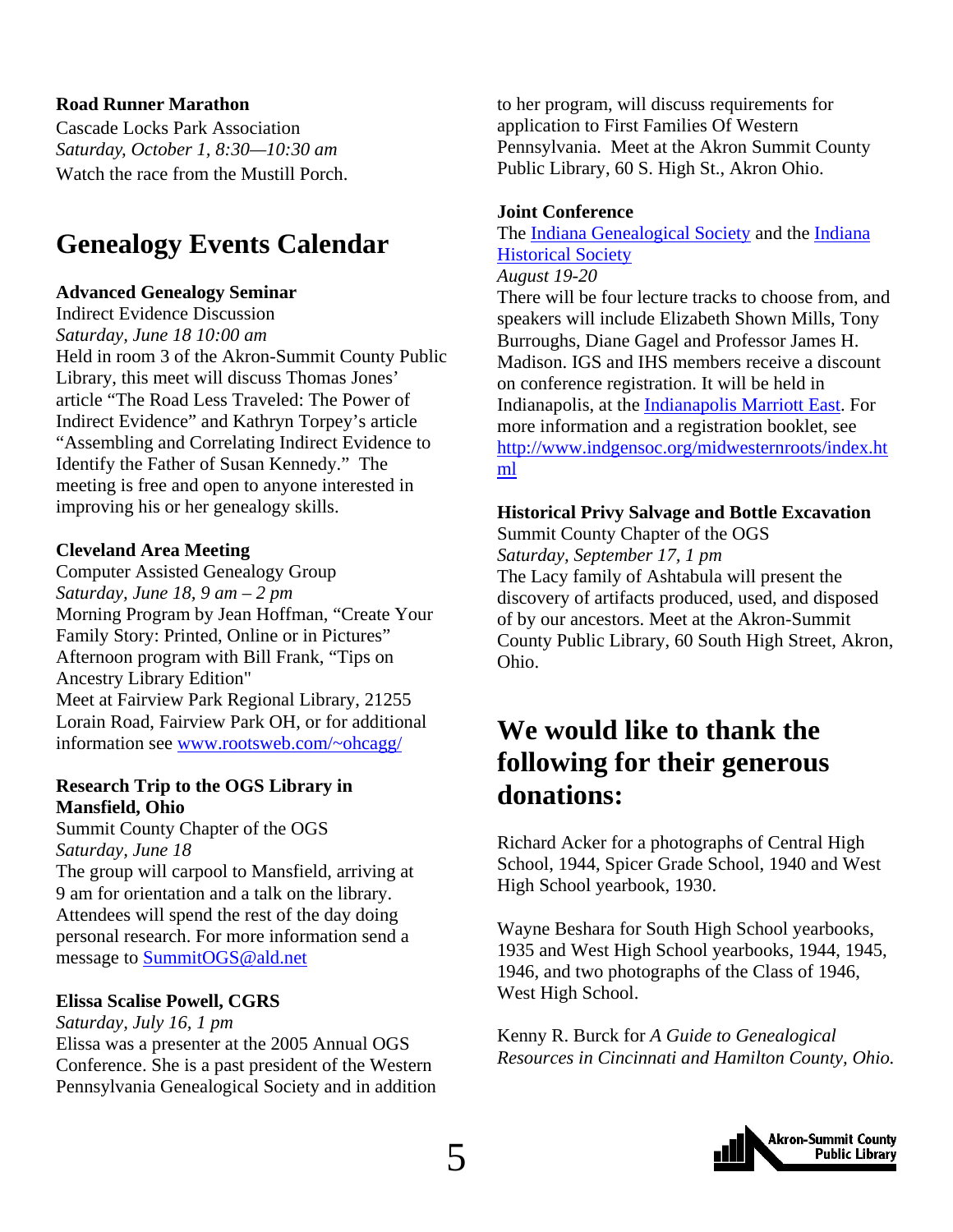#### <span id="page-4-0"></span>**Road Runner Marathon**

Cascade Locks Park Association *Saturday, October 1, 8:30—10:30 am*  Watch the race from the Mustill Porch.

### **Genealogy Events Calendar**

#### **Advanced Genealogy Seminar**

Indirect Evidence Discussion *Saturday, June 18 10:00 am* Held in room 3 of the Akron-Summit County Public Library, this meet will discuss Thomas Jones' article "The Road Less Traveled: The Power of Indirect Evidence" and Kathryn Torpey's article "Assembling and Correlating Indirect Evidence to Identify the Father of Susan Kennedy." The meeting is free and open to anyone interested in improving his or her genealogy skills.

#### **Cleveland Area Meeting**

Computer Assisted Genealogy Group *Saturday, June 18, 9 am – 2 pm*  Morning Program by Jean Hoffman, "Create Your Family Story: Printed, Online or in Pictures" Afternoon program with Bill Frank, "Tips on Ancestry Library Edition" Meet at Fairview Park Regional Library, 21255 Lorain Road, Fairview Park OH, or for additional information see [www.rootsweb.com/~ohcagg/](http://www.rootsweb.com/%7Eohcagg/)

#### **Research Trip to the OGS Library in Mansfield, Ohio**

Summit County Chapter of the OGS *Saturday, June 18* 

The group will carpool to Mansfield, arriving at 9 am for orientation and a talk on the library. Attendees will spend the rest of the day doing personal research. For more information send a message to [SummitOGS@ald.net](mailto:SummitOGS@ald.net)

#### **Elissa Scalise Powell, CGRS**

#### *Saturday, July 16, 1 pm*

Elissa was a presenter at the 2005 Annual OGS Conference. She is a past president of the Western Pennsylvania Genealogical Society and in addition to her program, will discuss requirements for application to First Families Of Western Pennsylvania. Meet at the Akron Summit County Public Library, 60 S. High St., Akron Ohio.

#### **Joint Conference**

The [Indiana Genealogical Society](http://www.indgensoc.org/) and the [Indiana](http://www.indianahistory.org/)  [Historical Society](http://www.indianahistory.org/) 

#### *August 19-20*

There will be four lecture tracks to choose from, and speakers will include Elizabeth Shown Mills, Tony Burroughs, Diane Gagel and Professor James H. Madison. IGS and IHS members receive a discount on conference registration. It will be held in Indianapolis, at the [Indianapolis Marriott East](http://www.indianapolismarriotteast.com/). For more information and a registration booklet, see [http://www.indgensoc.org/midwesternroots/index.ht](http://www.indgensoc.org/midwesternroots/index.html) [ml](http://www.indgensoc.org/midwesternroots/index.html)

#### **Historical Privy Salvage and Bottle Excavation**

Summit County Chapter of the OGS *Saturday, September 17, 1 pm*  The Lacy family of Ashtabula will present the discovery of artifacts produced, used, and disposed of by our ancestors. Meet at the Akron-Summit County Public Library, 60 South High Street, Akron, Ohio.

### **We would like to thank the following for their generous donations:**

Richard Acker for a photographs of Central High School, 1944, Spicer Grade School, 1940 and West High School yearbook, 1930.

Wayne Beshara for South High School yearbooks, 1935 and West High School yearbooks, 1944, 1945, 1946, and two photographs of the Class of 1946, West High School.

Kenny R. Burck for *A Guide to Genealogical Resources in Cincinnati and Hamilton County, Ohio.* 

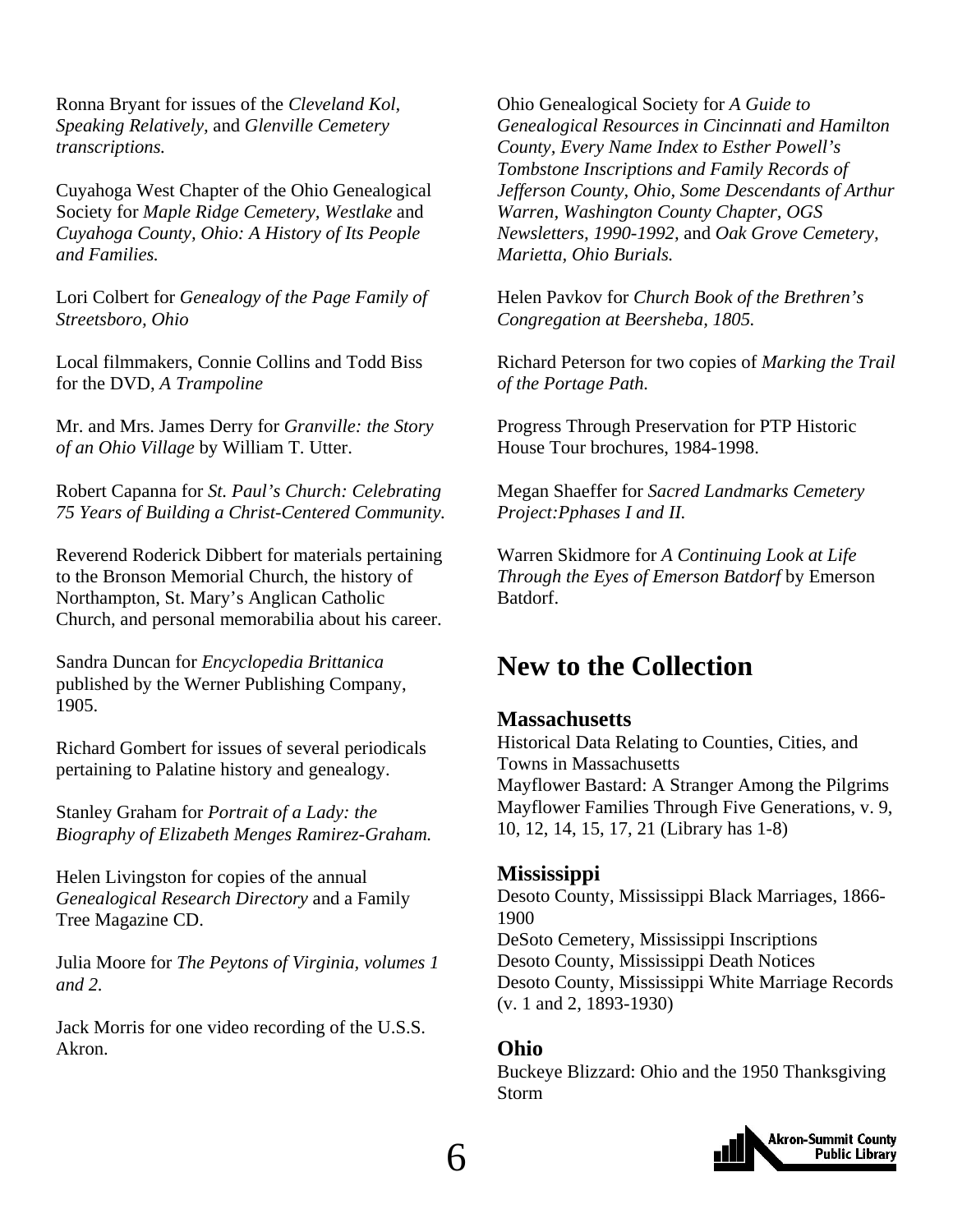<span id="page-5-0"></span>Ronna Bryant for issues of the *Cleveland Kol, Speaking Relatively,* and *Glenville Cemetery transcriptions.* 

Cuyahoga West Chapter of the Ohio Genealogical Society for *Maple Ridge Cemetery, Westlake* and *Cuyahoga County, Ohio: A History of Its People and Families.* 

Lori Colbert for *Genealogy of the Page Family of Streetsboro, Ohio* 

Local filmmakers, Connie Collins and Todd Biss for the DVD, *A Trampoline* 

Mr. and Mrs. James Derry for *Granville: the Story of an Ohio Village* by William T. Utter.

Robert Capanna for *St. Paul's Church: Celebrating 75 Years of Building a Christ-Centered Community.* 

Reverend Roderick Dibbert for materials pertaining to the Bronson Memorial Church, the history of Northampton, St. Mary's Anglican Catholic Church, and personal memorabilia about his career.

Sandra Duncan for *Encyclopedia Brittanica* published by the Werner Publishing Company, 1905.

Richard Gombert for issues of several periodicals pertaining to Palatine history and genealogy.

Stanley Graham for *Portrait of a Lady: the Biography of Elizabeth Menges Ramirez-Graham.* 

Helen Livingston for copies of the annual *Genealogical Research Directory* and a Family Tree Magazine CD.

Julia Moore for *The Peytons of Virginia, volumes 1 and 2.* 

Jack Morris for one video recording of the U.S.S. Akron.

Ohio Genealogical Society for *A Guide to Genealogical Resources in Cincinnati and Hamilton County, Every Name Index to Esther Powell's Tombstone Inscriptions and Family Records of Jefferson County, Ohio, Some Descendants of Arthur Warren, Washington County Chapter, OGS Newsletters, 1990-1992,* and *Oak Grove Cemetery, Marietta, Ohio Burials.* 

Helen Pavkov for *Church Book of the Brethren's Congregation at Beersheba, 1805.* 

Richard Peterson for two copies of *Marking the Trail of the Portage Path.* 

Progress Through Preservation for PTP Historic House Tour brochures, 1984-1998.

Megan Shaeffer for *Sacred Landmarks Cemetery Project:Pphases I and II.* 

Warren Skidmore for *A Continuing Look at Life Through the Eyes of Emerson Batdorf* by Emerson Batdorf.

### **New to the Collection**

#### **Massachusetts**

Historical Data Relating to Counties, Cities, and Towns in Massachusetts Mayflower Bastard: A Stranger Among the Pilgrims Mayflower Families Through Five Generations, v. 9, 10, 12, 14, 15, 17, 21 (Library has 1-8)

#### **Mississippi**

Desoto County, Mississippi Black Marriages, 1866- 1900 DeSoto Cemetery, Mississippi Inscriptions Desoto County, Mississippi Death Notices Desoto County, Mississippi White Marriage Records (v. 1 and 2, 1893-1930)

#### **Ohio**

Buckeye Blizzard: Ohio and the 1950 Thanksgiving Storm

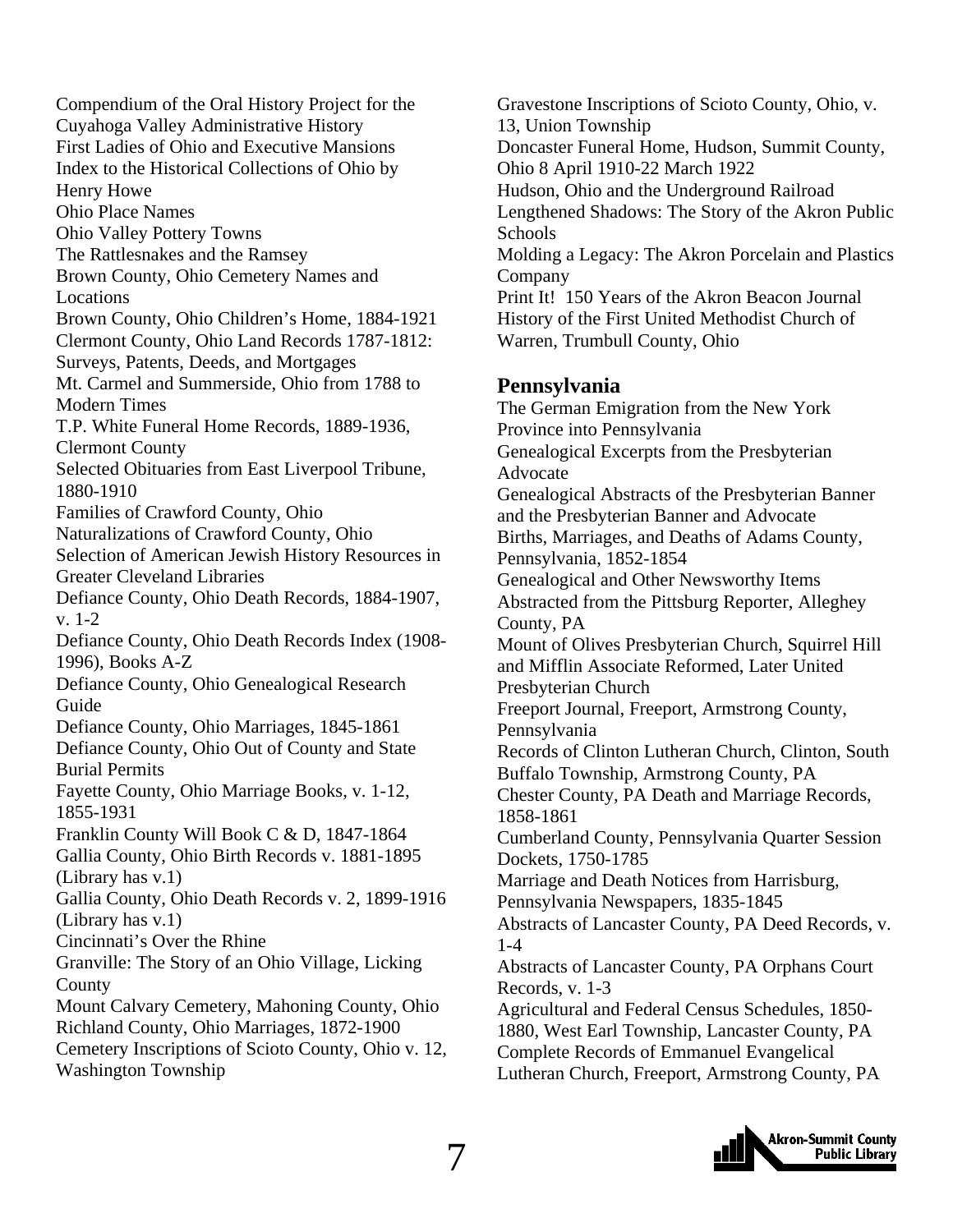Compendium of the Oral History Project for the Cuyahoga Valley Administrative History First Ladies of Ohio and Executive Mansions Index to the Historical Collections of Ohio by Henry Howe Ohio Place Names Ohio Valley Pottery Towns The Rattlesnakes and the Ramsey Brown County, Ohio Cemetery Names and Locations Brown County, Ohio Children's Home, 1884-1921 Clermont County, Ohio Land Records 1787-1812: Surveys, Patents, Deeds, and Mortgages Mt. Carmel and Summerside, Ohio from 1788 to Modern Times T.P. White Funeral Home Records, 1889-1936, Clermont County Selected Obituaries from East Liverpool Tribune, 1880-1910 Families of Crawford County, Ohio Naturalizations of Crawford County, Ohio Selection of American Jewish History Resources in Greater Cleveland Libraries Defiance County, Ohio Death Records, 1884-1907, v. 1-2 Defiance County, Ohio Death Records Index (1908- 1996), Books A-Z Defiance County, Ohio Genealogical Research Guide Defiance County, Ohio Marriages, 1845-1861 Defiance County, Ohio Out of County and State Burial Permits Fayette County, Ohio Marriage Books, v. 1-12, 1855-1931 Franklin County Will Book C & D, 1847-1864 Gallia County, Ohio Birth Records v. 1881-1895 (Library has v.1) Gallia County, Ohio Death Records v. 2, 1899-1916 (Library has v.1) Cincinnati's Over the Rhine Granville: The Story of an Ohio Village, Licking County Mount Calvary Cemetery, Mahoning County, Ohio Richland County, Ohio Marriages, 1872-1900 Cemetery Inscriptions of Scioto County, Ohio v. 12, Washington Township

Gravestone Inscriptions of Scioto County, Ohio, v. 13, Union Township Doncaster Funeral Home, Hudson, Summit County, Ohio 8 April 1910-22 March 1922 Hudson, Ohio and the Underground Railroad Lengthened Shadows: The Story of the Akron Public **Schools** Molding a Legacy: The Akron Porcelain and Plastics Company Print It! 150 Years of the Akron Beacon Journal History of the First United Methodist Church of Warren, Trumbull County, Ohio

#### **Pennsylvania**

The German Emigration from the New York Province into Pennsylvania Genealogical Excerpts from the Presbyterian Advocate Genealogical Abstracts of the Presbyterian Banner and the Presbyterian Banner and Advocate Births, Marriages, and Deaths of Adams County, Pennsylvania, 1852-1854 Genealogical and Other Newsworthy Items Abstracted from the Pittsburg Reporter, Alleghey County, PA Mount of Olives Presbyterian Church, Squirrel Hill and Mifflin Associate Reformed, Later United Presbyterian Church Freeport Journal, Freeport, Armstrong County, Pennsylvania Records of Clinton Lutheran Church, Clinton, South Buffalo Township, Armstrong County, PA Chester County, PA Death and Marriage Records, 1858-1861 Cumberland County, Pennsylvania Quarter Session Dockets, 1750-1785 Marriage and Death Notices from Harrisburg, Pennsylvania Newspapers, 1835-1845 Abstracts of Lancaster County, PA Deed Records, v. 1-4 Abstracts of Lancaster County, PA Orphans Court Records, v. 1-3 Agricultural and Federal Census Schedules, 1850- 1880, West Earl Township, Lancaster County, PA Complete Records of Emmanuel Evangelical Lutheran Church, Freeport, Armstrong County, PA

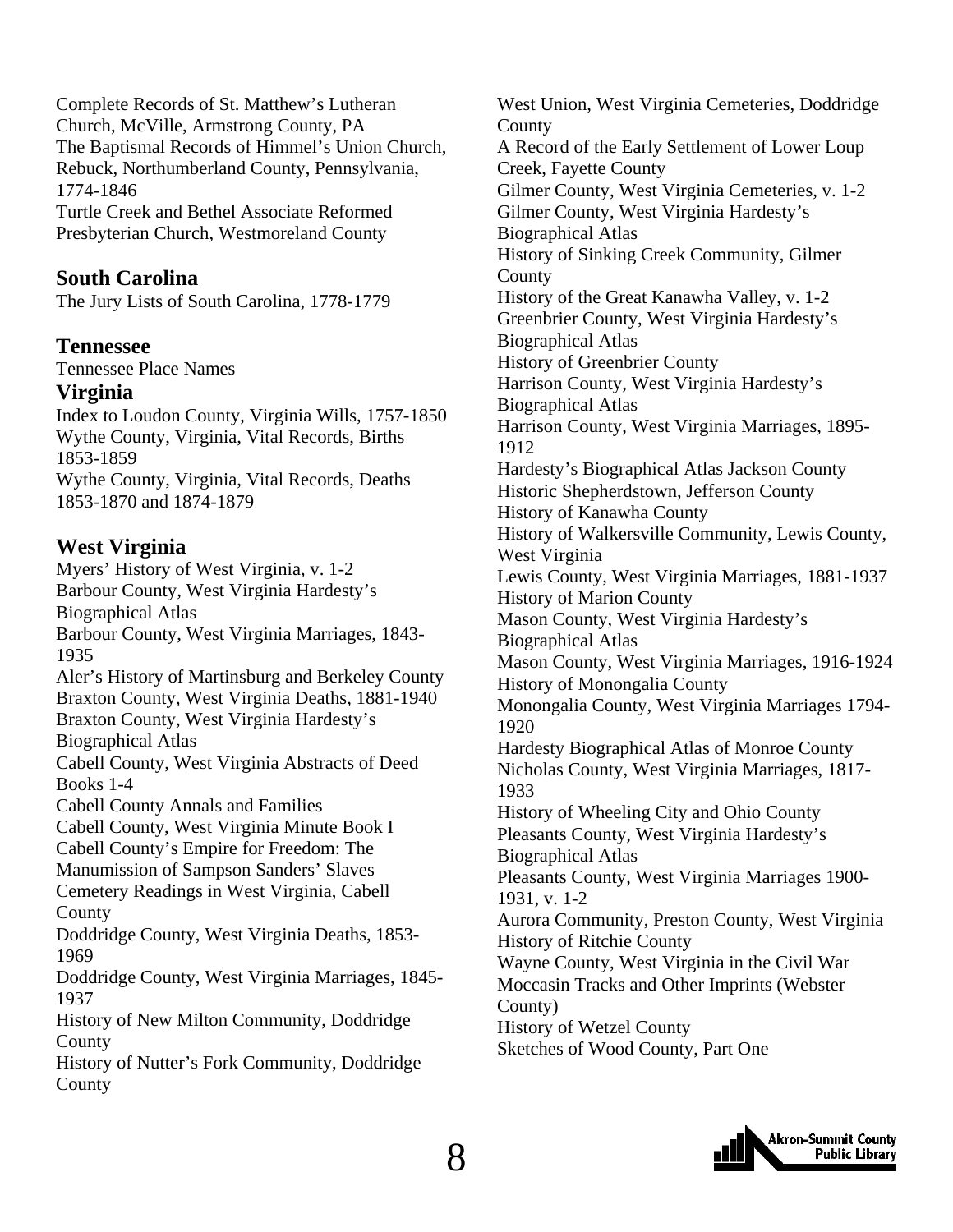Complete Records of St. Matthew's Lutheran Church, McVille, Armstrong County, PA The Baptismal Records of Himmel's Union Church, Rebuck, Northumberland County, Pennsylvania, 1774-1846

Turtle Creek and Bethel Associate Reformed Presbyterian Church, Westmoreland County

#### **South Carolina**

The Jury Lists of South Carolina, 1778-1779

#### **Tennessee**

Tennessee Place Names

#### **Virginia**

Index to Loudon County, Virginia Wills, 1757-1850 Wythe County, Virginia, Vital Records, Births 1853-1859 Wythe County, Virginia, Vital Records, Deaths 1853-1870 and 1874-1879

#### **West Virginia**

Myers' History of West Virginia, v. 1-2 Barbour County, West Virginia Hardesty's Biographical Atlas Barbour County, West Virginia Marriages, 1843- 1935 Aler's History of Martinsburg and Berkeley County Braxton County, West Virginia Deaths, 1881-1940 Braxton County, West Virginia Hardesty's Biographical Atlas Cabell County, West Virginia Abstracts of Deed Books 1-4 Cabell County Annals and Families Cabell County, West Virginia Minute Book I Cabell County's Empire for Freedom: The Manumission of Sampson Sanders' Slaves Cemetery Readings in West Virginia, Cabell County Doddridge County, West Virginia Deaths, 1853- 1969 Doddridge County, West Virginia Marriages, 1845- 1937 History of New Milton Community, Doddridge County History of Nutter's Fork Community, Doddridge County

West Union, West Virginia Cemeteries, Doddridge County A Record of the Early Settlement of Lower Loup Creek, Fayette County Gilmer County, West Virginia Cemeteries, v. 1-2 Gilmer County, West Virginia Hardesty's Biographical Atlas History of Sinking Creek Community, Gilmer **County** History of the Great Kanawha Valley, v. 1-2 Greenbrier County, West Virginia Hardesty's Biographical Atlas History of Greenbrier County Harrison County, West Virginia Hardesty's Biographical Atlas Harrison County, West Virginia Marriages, 1895- 1912 Hardesty's Biographical Atlas Jackson County Historic Shepherdstown, Jefferson County History of Kanawha County History of Walkersville Community, Lewis County, West Virginia Lewis County, West Virginia Marriages, 1881-1937 History of Marion County Mason County, West Virginia Hardesty's Biographical Atlas Mason County, West Virginia Marriages, 1916-1924 History of Monongalia County Monongalia County, West Virginia Marriages 1794- 1920 Hardesty Biographical Atlas of Monroe County Nicholas County, West Virginia Marriages, 1817- 1933 History of Wheeling City and Ohio County Pleasants County, West Virginia Hardesty's Biographical Atlas Pleasants County, West Virginia Marriages 1900- 1931, v. 1-2 Aurora Community, Preston County, West Virginia History of Ritchie County Wayne County, West Virginia in the Civil War Moccasin Tracks and Other Imprints (Webster County) History of Wetzel County Sketches of Wood County, Part One